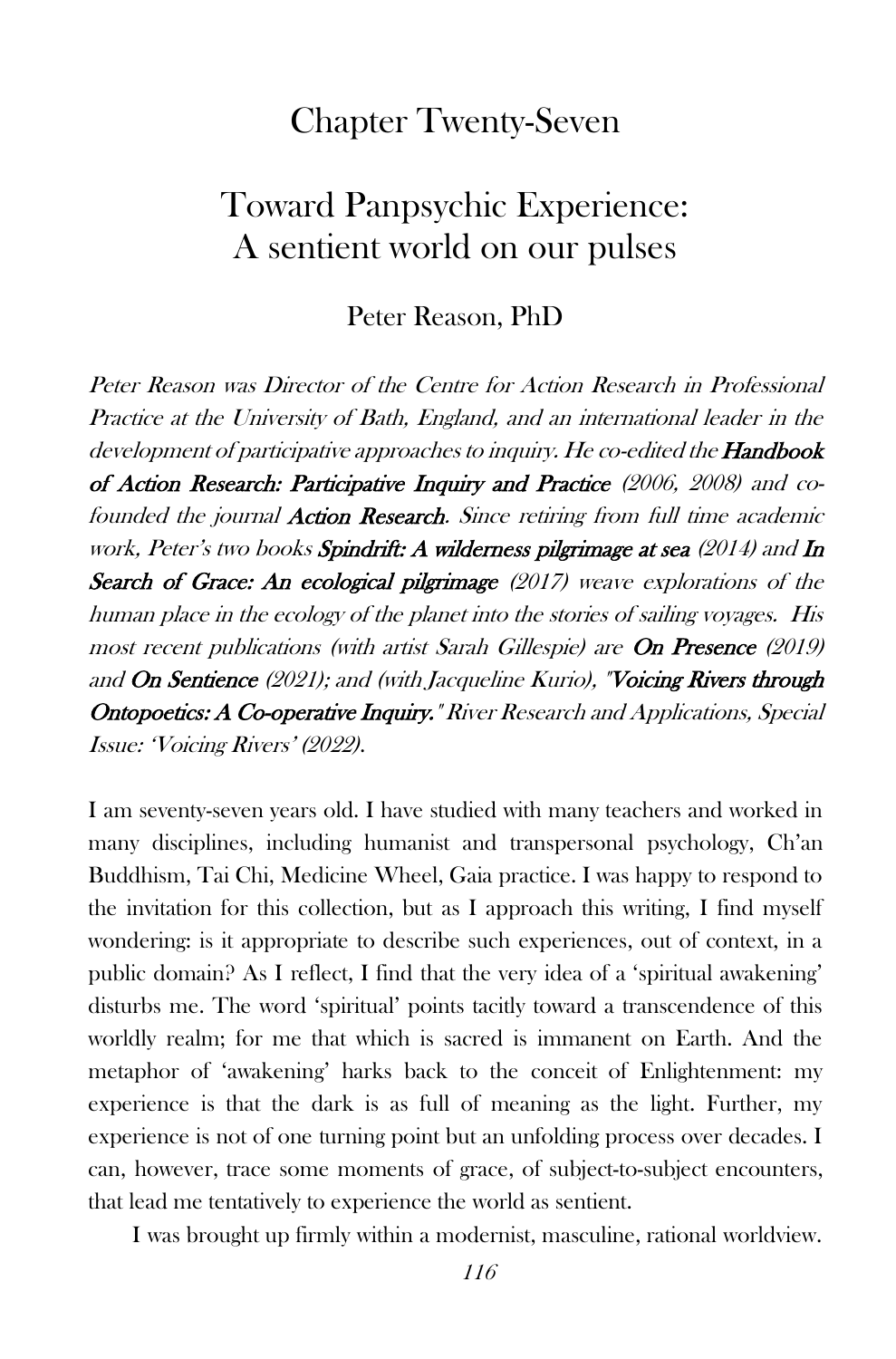## Chapter Twenty-Seven

## Toward Panpsychic Experience: A sentient world on our pulses

## Peter Reason, PhD

Peter Reason was Director of the Centre for Action Research in Professional Practice at the University of Bath, England, and an international leader in the development of participative approaches to inquiry. He co-edited the **Handbook** of Action Research: Participative Inquiry and Practice (2006, 2008) and cofounded the journal **Action Research**. Since retiring from full time academic work, Peter's two books Spindrift: A wilderness pilgrimage at sea (2014) and In Search of Grace: An ecological pilgrimage (2017) weave explorations of the human place in the ecology of the planet into the stories of sailing voyages. His most recent publications (with artist Sarah Gillespie) are On Presence (2019) and On Sentience (2021); and (with Jacqueline Kurio), "Voicing Rivers through Ontopoetics: A Co-operative Inquiry." River Research and Applications, Special Issue: 'Voicing Rivers' (2022).

I am seventy-seven years old. I have studied with many teachers and worked in many disciplines, including humanist and transpersonal psychology, Ch'an Buddhism, Tai Chi, Medicine Wheel, Gaia practice. I was happy to respond to the invitation for this collection, but as I approach this writing, I find myself wondering: is it appropriate to describe such experiences, out of context, in a public domain? As I reflect, I find that the very idea of a 'spiritual awakening' disturbs me. The word 'spiritual' points tacitly toward a transcendence of this worldly realm; for me that which is sacred is immanent on Earth. And the metaphor of 'awakening' harks back to the conceit of Enlightenment: my experience is that the dark is as full of meaning as the light. Further, my experience is not of one turning point but an unfolding process over decades. I can, however, trace some moments of grace, of subject-to-subject encounters, that lead me tentatively to experience the world as sentient.

I was brought up firmly within a modernist, masculine, rational worldview.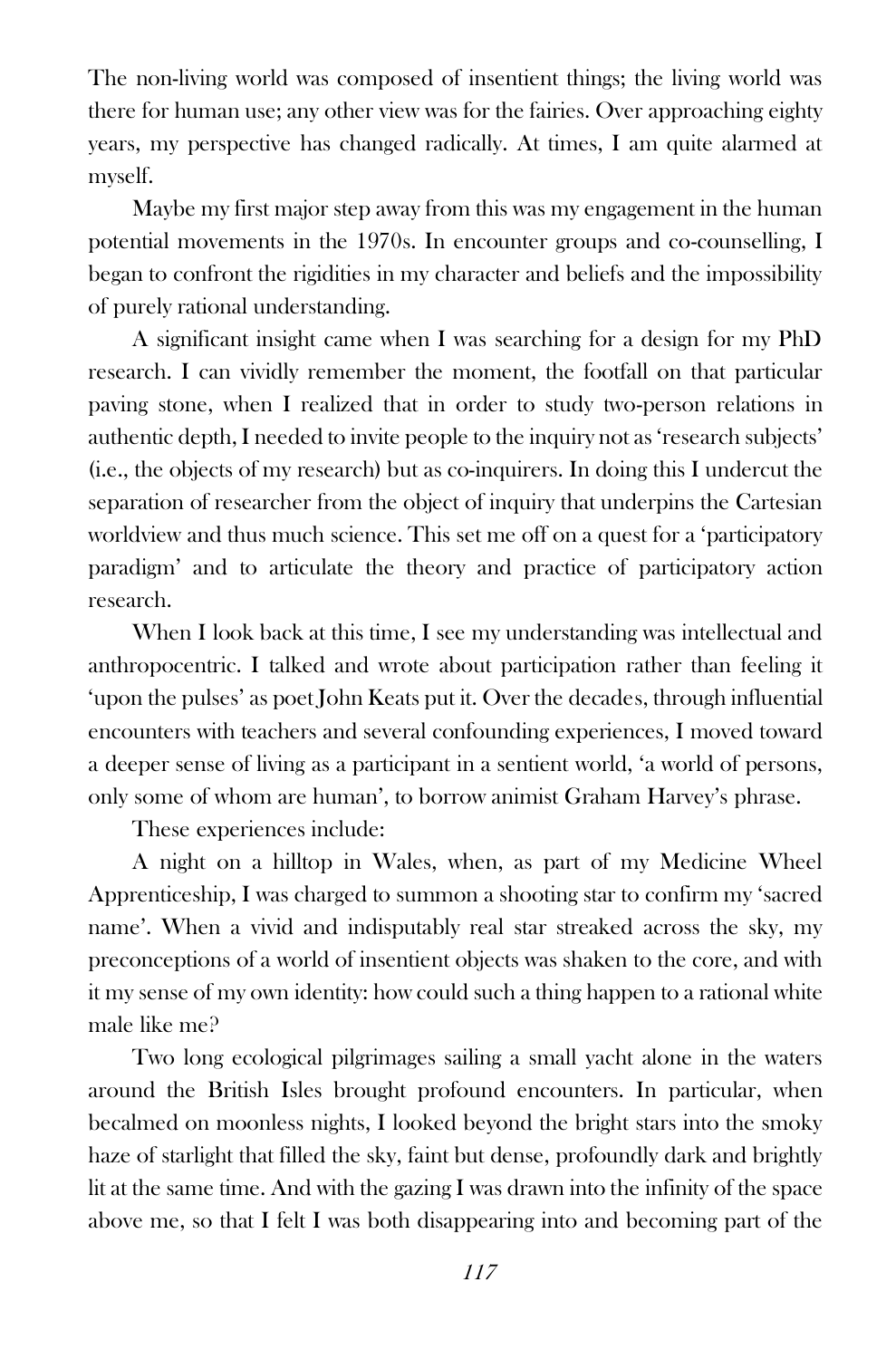The non-living world was composed of insentient things; the living world was there for human use; any other view was for the fairies. Over approaching eighty years, my perspective has changed radically. At times, I am quite alarmed at myself.

Maybe my first major step away from this was my engagement in the human potential movements in the 1970s. In encounter groups and co-counselling, I began to confront the rigidities in my character and beliefs and the impossibility of purely rational understanding.

A significant insight came when I was searching for a design for my PhD research. I can vividly remember the moment, the footfall on that particular paving stone, when I realized that in order to study two-person relations in authentic depth, I needed to invite people to the inquiry not as 'research subjects' (i.e., the objects of my research) but as co-inquirers. In doing this I undercut the separation of researcher from the object of inquiry that underpins the Cartesian worldview and thus much science. This set me off on a quest for a 'participatory paradigm' and to articulate the theory and practice of participatory action research.

When I look back at this time, I see my understanding was intellectual and anthropocentric. I talked and wrote about participation rather than feeling it 'upon the pulses' as poet John Keats put it. Over the decades, through influential encounters with teachers and several confounding experiences, I moved toward a deeper sense of living as a participant in a sentient world, 'a world of persons, only some of whom are human', to borrow animist Graham Harvey's phrase.

These experiences include:

A night on a hilltop in Wales, when, as part of my Medicine Wheel Apprenticeship, I was charged to summon a shooting star to confirm my 'sacred name'. When a vivid and indisputably real star streaked across the sky, my preconceptions of a world of insentient objects was shaken to the core, and with it my sense of my own identity: how could such a thing happen to a rational white male like me?

Two long ecological pilgrimages sailing a small yacht alone in the waters around the British Isles brought profound encounters. In particular, when becalmed on moonless nights, I looked beyond the bright stars into the smoky haze of starlight that filled the sky, faint but dense, profoundly dark and brightly lit at the same time. And with the gazing I was drawn into the infinity of the space above me, so that I felt I was both disappearing into and becoming part of the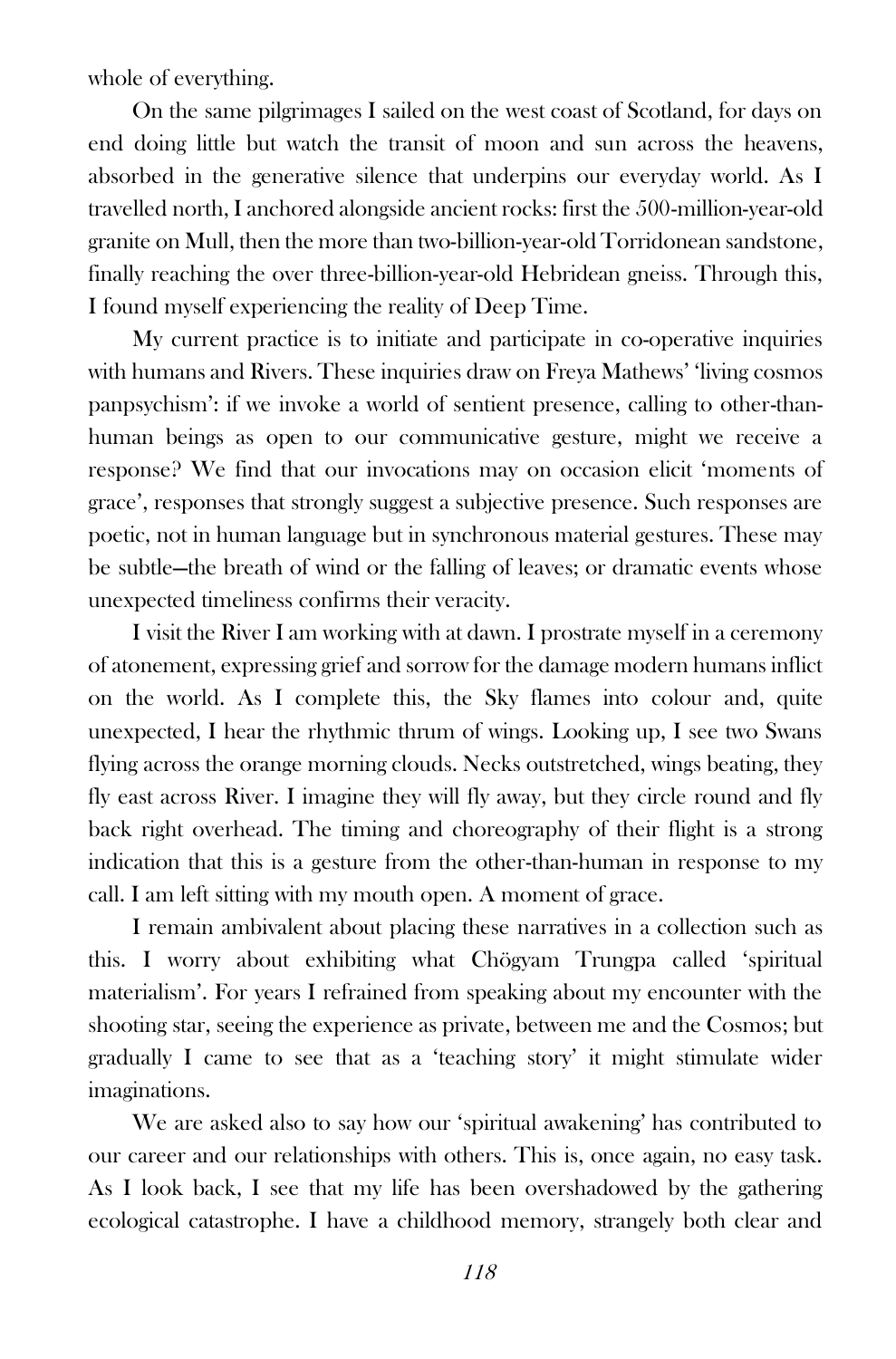whole of everything.

On the same pilgrimages I sailed on the west coast of Scotland, for days on end doing little but watch the transit of moon and sun across the heavens, absorbed in the generative silence that underpins our everyday world. As I travelled north, I anchored alongside ancient rocks: first the 500-million-year-old granite on Mull, then the more than two-billion-year-old Torridonean sandstone, finally reaching the over three-billion-year-old Hebridean gneiss. Through this, I found myself experiencing the reality of Deep Time.

My current practice is to initiate and participate in co-operative inquiries with humans and Rivers. These inquiries draw on Freya Mathews' 'living cosmos panpsychism': if we invoke a world of sentient presence, calling to other-thanhuman beings as open to our communicative gesture, might we receive a response? We find that our invocations may on occasion elicit 'moments of grace', responses that strongly suggest a subjective presence. Such responses are poetic, not in human language but in synchronous material gestures. These may be subtle—the breath of wind or the falling of leaves; or dramatic events whose unexpected timeliness confirms their veracity.

I visit the River I am working with at dawn. I prostrate myself in a ceremony of atonement, expressing grief and sorrow for the damage modern humans inflict on the world. As I complete this, the Sky flames into colour and, quite unexpected, I hear the rhythmic thrum of wings. Looking up, I see two Swans flying across the orange morning clouds. Necks outstretched, wings beating, they fly east across River. I imagine they will fly away, but they circle round and fly back right overhead. The timing and choreography of their flight is a strong indication that this is a gesture from the other-than-human in response to my call. I am left sitting with my mouth open. A moment of grace.

I remain ambivalent about placing these narratives in a collection such as this. I worry about exhibiting what Chögyam Trungpa called 'spiritual materialism'. For years I refrained from speaking about my encounter with the shooting star, seeing the experience as private, between me and the Cosmos; but gradually I came to see that as a 'teaching story' it might stimulate wider imaginations.

We are asked also to say how our 'spiritual awakening' has contributed to our career and our relationships with others. This is, once again, no easy task. As I look back, I see that my life has been overshadowed by the gathering ecological catastrophe. I have a childhood memory, strangely both clear and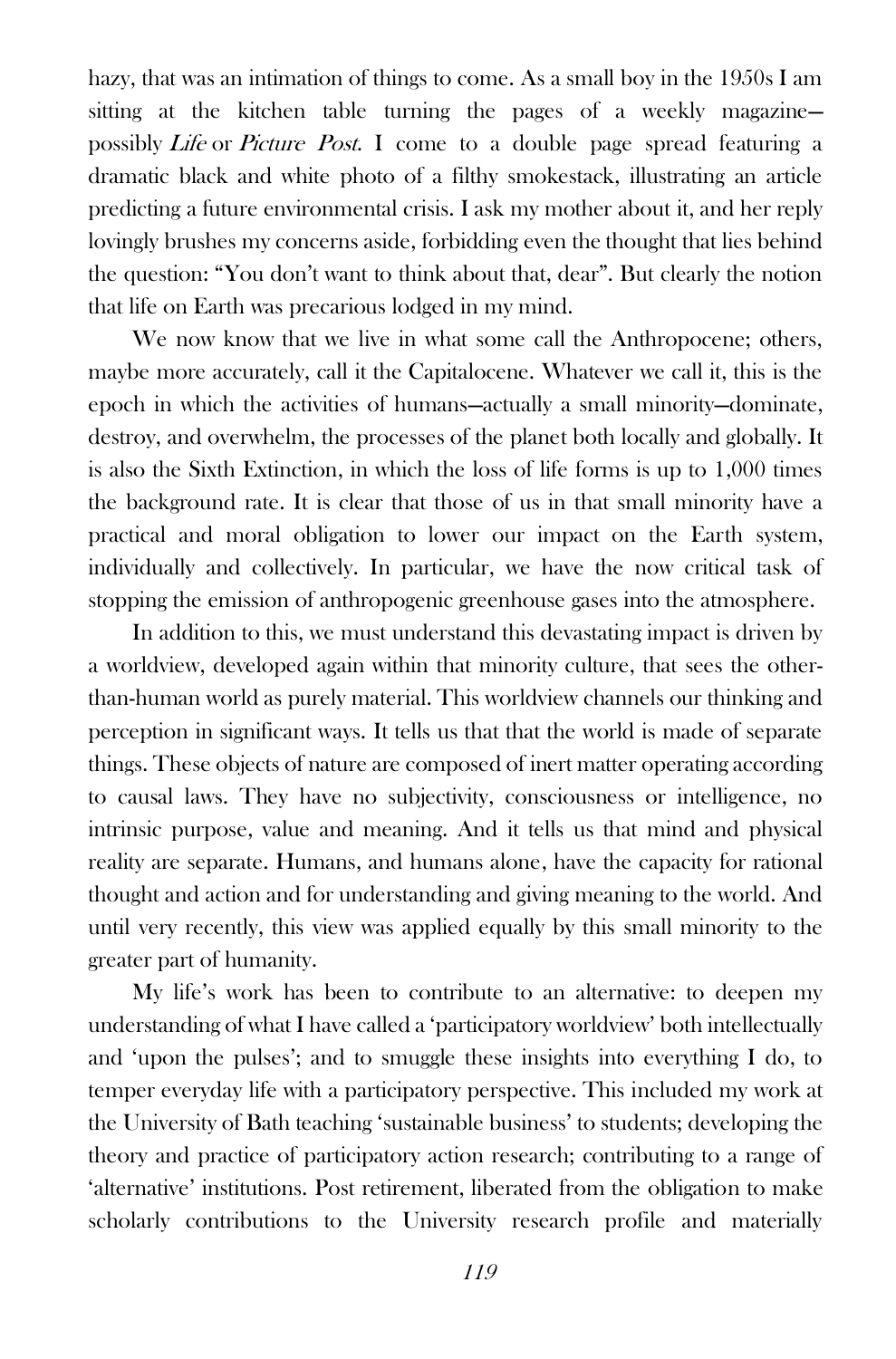hazy, that was an intimation of things to come. As a small boy in the 1950s I am sitting at the kitchen table turning the pages of a weekly magazine possibly Life or Picture Post. I come to a double page spread featuring a dramatic black and white photo of a filthy smokestack, illustrating an article predicting a future environmental crisis. I ask my mother about it, and her reply lovingly brushes my concerns aside, forbidding even the thought that lies behind the question: "You don't want to think about that, dear". But clearly the notion that life on Earth was precarious lodged in my mind.

We now know that we live in what some call the Anthropocene; others, maybe more accurately, call it the Capitalocene. Whatever we call it, this is the epoch in which the activities of humans—actually a small minority—dominate, destroy, and overwhelm, the processes of the planet both locally and globally. It is also the Sixth Extinction, in which the loss of life forms is up to 1,000 times the background rate. It is clear that those of us in that small minority have a practical and moral obligation to lower our impact on the Earth system, individually and collectively. In particular, we have the now critical task of stopping the emission of anthropogenic greenhouse gases into the atmosphere.

In addition to this, we must understand this devastating impact is driven by a worldview, developed again within that minority culture, that sees the otherthan-human world as purely material. This worldview channels our thinking and perception in significant ways. It tells us that that the world is made of separate things. These objects of nature are composed of inert matter operating according to causal laws. They have no subjectivity, consciousness or intelligence, no intrinsic purpose, value and meaning. And it tells us that mind and physical reality are separate. Humans, and humans alone, have the capacity for rational thought and action and for understanding and giving meaning to the world. And until very recently, this view was applied equally by this small minority to the greater part of humanity.

My life's work has been to contribute to an alternative: to deepen my understanding of what I have called a 'participatory worldview' both intellectually and 'upon the pulses'; and to smuggle these insights into everything I do, to temper everyday life with a participatory perspective. This included my work at the University of Bath teaching 'sustainable business' to students; developing the theory and practice of participatory action research; contributing to a range of 'alternative' institutions. Post retirement, liberated from the obligation to make scholarly contributions to the University research profile and materially